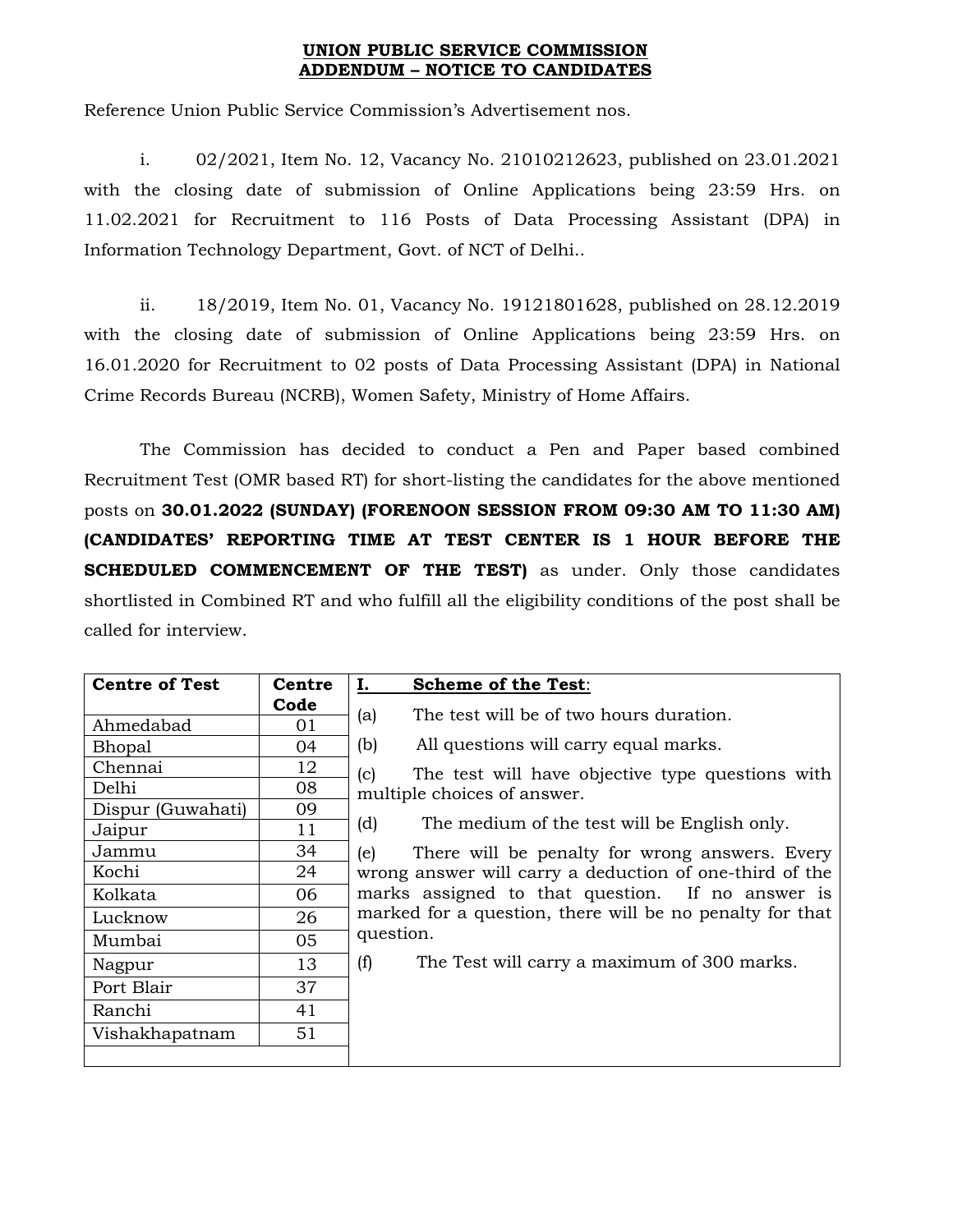## **UNION PUBLIC SERVICE COMMISSION ADDENDUM – NOTICE TO CANDIDATES**

Reference Union Public Service Commission's Advertisement nos.

i. 02/2021, Item No. 12, Vacancy No. 21010212623, published on 23.01.2021 with the closing date of submission of Online Applications being 23:59 Hrs. on 11.02.2021 for Recruitment to 116 Posts of Data Processing Assistant (DPA) in Information Technology Department, Govt. of NCT of Delhi..

ii. 18/2019, Item No. 01, Vacancy No. 19121801628, published on 28.12.2019 with the closing date of submission of Online Applications being 23:59 Hrs. on 16.01.2020 for Recruitment to 02 posts of Data Processing Assistant (DPA) in National Crime Records Bureau (NCRB), Women Safety, Ministry of Home Affairs.

The Commission has decided to conduct a Pen and Paper based combined Recruitment Test (OMR based RT) for short-listing the candidates for the above mentioned posts on **30.01.2022 (SUNDAY) (FORENOON SESSION FROM 09:30 AM TO 11:30 AM) (CANDIDATES' REPORTING TIME AT TEST CENTER IS 1 HOUR BEFORE THE SCHEDULED COMMENCEMENT OF THE TEST)** as under. Only those candidates shortlisted in Combined RT and who fulfill all the eligibility conditions of the post shall be called for interview.

| <b>Centre of Test</b> | Centre | Ι.<br><b>Scheme of the Test:</b>                         |
|-----------------------|--------|----------------------------------------------------------|
|                       | Code   | The test will be of two hours duration.<br>(a)           |
| Ahmedabad             | 01     |                                                          |
| <b>Bhopal</b>         | 04     | All questions will carry equal marks.<br>(b)             |
| Chennai               | 12     | (c)<br>The test will have objective type questions with  |
| Delhi                 | 08     | multiple choices of answer.                              |
| Dispur (Guwahati)     | 09     |                                                          |
| Jaipur                | 11     | The medium of the test will be English only.<br>(d)      |
| Jammu                 | 34     | There will be penalty for wrong answers. Every<br>(e)    |
| Kochi                 | 24     | wrong answer will carry a deduction of one-third of the  |
| Kolkata               | 06     | marks assigned to that question. If no answer is         |
| Lucknow               | 26     | marked for a question, there will be no penalty for that |
| Mumbai                | 05     | question.                                                |
| Nagpur                | 13     | (f)<br>The Test will carry a maximum of 300 marks.       |
| Port Blair            | 37     |                                                          |
| Ranchi                | 41     |                                                          |
| Vishakhapatnam        | 51     |                                                          |
|                       |        |                                                          |